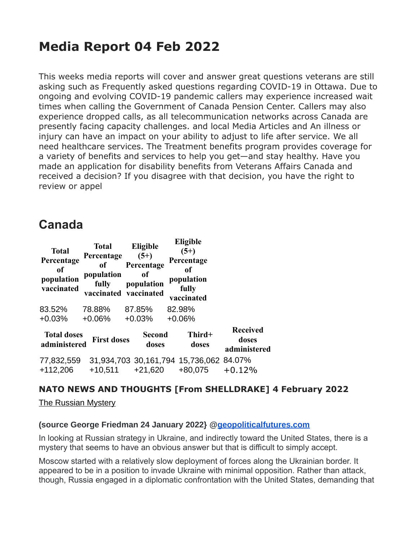# **Media Report 04 Feb 2022**

This weeks media reports will cover and answer great questions veterans are still asking such as Frequently asked questions regarding COVID-19 in Ottawa. Due to ongoing and evolving COVID-19 pandemic callers may experience increased wait times when calling the Government of Canada Pension Center. Callers may also experience dropped calls, as all telecommunication networks across Canada are presently facing capacity challenges. and local Media Articles and An illness or injury can have an impact on your ability to adjust to life after service. We all need healthcare services. The Treatment benefits program provides coverage for a variety of benefits and services to help you get—and stay healthy. Have you made an application for disability benefits from Veterans Affairs Canada and received a decision? If you disagree with that decision, you have the right to review or appel

## **Canada**

| <b>Total</b><br>Percentage<br>of<br>population<br>vaccinated | Total<br>Percentage<br>of<br>population<br>fully | Eligible<br>$(5+)$<br>Percentage<br>0f<br>population<br>vaccinated vaccinated | <b>Eligible</b><br>$(5+)$<br>Percentage<br>of<br>population<br>fully<br>vaccinated |                                          |
|--------------------------------------------------------------|--------------------------------------------------|-------------------------------------------------------------------------------|------------------------------------------------------------------------------------|------------------------------------------|
| 83.52%                                                       | 78.88%                                           | 87.85%                                                                        | 82.98%                                                                             |                                          |
| $+0.03%$                                                     | $+0.06%$                                         | $+0.03%$                                                                      | $+0.06%$                                                                           |                                          |
| <b>Total doses</b><br>administered                           | <b>First doses</b>                               | <b>Second</b><br>doses                                                        | Third+<br>doses                                                                    | <b>Received</b><br>doses<br>administered |
| 77,832,559                                                   |                                                  |                                                                               | 31,934,703 30,161,794 15,736,062 84.07%                                            |                                          |
| +112,206                                                     | $+10,511$                                        | $+21,620$                                                                     | +80,075                                                                            | $+0.12%$                                 |

## **NATO NEWS AND THOUGHTS [From SHELLDRAKE] 4 February 2022**

**Eligible**

[The Russian Mystery](https://geopoliticalfutures.com/mailster/301544/8f7083d1226c6fc4572ce12595b6890a/aHR0cHM6Ly9nZW9wb2xpdGljYWxmdXR1cmVzLmNvbS90aGUtcnVzc2lhbi1teXN0ZXJ5Lz90cGE9WVRFMU9EZGpaREEwT0dSbU1qUmlaV0l6WmpsaVpURTJORE01TURJME9EVXdaRFZrWkdJ/1)

#### **(source George Friedman 24 January 2022} [@geopoliticalfutures.com](http://geopoliticalfutures.com/)**

In looking at Russian strategy in Ukraine, and indirectly toward the United States, there is a mystery that seems to have an obvious answer but that is difficult to simply accept.

Moscow started with a relatively slow deployment of forces along the Ukrainian border. It appeared to be in a position to invade Ukraine with minimal opposition. Rather than attack, though, Russia engaged in a diplomatic confrontation with the United States, demanding that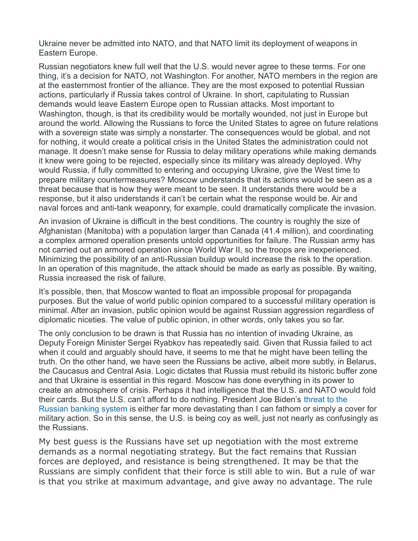Ukraine never be admitted into NATO, and that NATO limit its deployment of weapons in Eastern Europe.

Russian negotiators knew full well that the U.S. would never agree to these terms. For one thing, it's a decision for NATO, not Washington. For another, NATO members in the region are at the easternmost frontier of the alliance. They are the most exposed to potential Russian actions, particularly if Russia takes control of Ukraine. In short, capitulating to Russian demands would leave Eastern Europe open to Russian attacks. Most important to Washington, though, is that its credibility would be mortally wounded, not just in Europe but around the world. Allowing the Russians to force the United States to agree on future relations with a sovereign state was simply a nonstarter. The consequences would be global, and not for nothing, it would create a political crisis in the United States the administration could not manage. It doesn't make sense for Russia to delay military operations while making demands it knew were going to be rejected, especially since its military was already deployed. Why would Russia, if fully committed to entering and occupying Ukraine, give the West time to prepare military countermeasures? Moscow understands that its actions would be seen as a threat because that is how they were meant to be seen. It understands there would be a response, but it also understands it can't be certain what the response would be. Air and naval forces and anti-tank weaponry, for example, could dramatically complicate the invasion.

An invasion of Ukraine is difficult in the best conditions. The country is roughly the size of Afghanistan (Manitoba) with a population larger than Canada (41.4 million), and coordinating a complex armored operation presents untold opportunities for failure. The Russian army has not carried out an armored operation since World War II, so the troops are inexperienced. Minimizing the possibility of an anti-Russian buildup would increase the risk to the operation. In an operation of this magnitude, the attack should be made as early as possible. By waiting, Russia increased the risk of failure.

It's possible, then, that Moscow wanted to float an impossible proposal for propaganda purposes. But the value of world public opinion compared to a successful military operation is minimal. After an invasion, public opinion would be against Russian aggression regardless of diplomatic niceties. The value of public opinion, in other words, only takes you so far.

The only conclusion to be drawn is that Russia has no intention of invading Ukraine, as Deputy Foreign Minister Sergei Ryabkov has repeatedly said. Given that Russia failed to act when it could and arguably should have, it seems to me that he might have been telling the truth. On the other hand, we have seen the Russians be active, albeit more subtly, in Belarus, the Caucasus and Central Asia. Logic dictates that Russia must rebuild its historic buffer zone and that Ukraine is essential in this regard. Moscow has done everything in its power to create an atmosphere of crisis. Perhaps it had intelligence that the U.S. and NATO would fold their cards. But the U.S. can't afford to do nothing. President Joe Biden's threat to the Russian banking system is either far more devastating than I can fathom or simply a cover for military action. So in this sense, the U.S. is being coy as well, just not nearly as confusingly as the Russians.

My best guess is the Russians have set up negotiation with the most extreme demands as a normal negotiating strategy. But the fact remains that Russian forces are deployed, and resistance is being strengthened. It may be that the Russians are simply confident that their force is still able to win. But a rule of war is that you strike at maximum advantage, and give away no advantage. The rule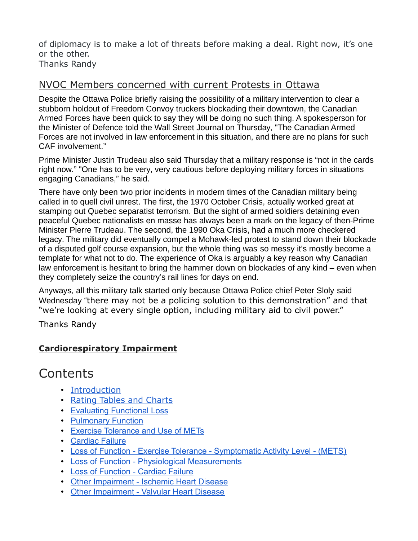of diplomacy is to make a lot of threats before making a deal. Right now, it's one or the other. Thanks Randy

## NVOC Members concerned with current Protests in Ottawa

Despite the Ottawa Police briefly raising the possibility of a military intervention to clear a stubborn holdout of Freedom Convoy truckers blockading their downtown, the Canadian Armed Forces have been quick to say they will be doing no such thing. A spokesperson for the Minister of Defence told the Wall Street Journal on Thursday, "The Canadian Armed Forces are not involved in law enforcement in this situation, and there are no plans for such CAF involvement."

Prime Minister Justin Trudeau also said Thursday that a military response is "not in the cards right now." "One has to be very, very cautious before deploying military forces in situations engaging Canadians," he said.

There have only been two prior incidents in modern times of the Canadian military being called in to quell civil unrest. The first, the 1970 October Crisis, actually worked great at stamping out Quebec separatist terrorism. But the sight of armed soldiers detaining even peaceful Quebec nationalists en masse has always been a mark on the legacy of then-Prime Minister Pierre Trudeau. The second, the 1990 Oka Crisis, had a much more checkered legacy. The military did eventually compel a Mohawk-led protest to stand down their blockade of a disputed golf course expansion, but the whole thing was so messy it's mostly become a template for what not to do. The experience of Oka is arguably a key reason why Canadian law enforcement is hesitant to bring the hammer down on blockades of any kind – even when they completely seize the country's rail lines for days on end.

Anyways, all this military talk started only because Ottawa Police chief Peter Sloly said Wednesday "there may not be a policing solution to this demonstration" and that "we're looking at every single option, including military aid to civil power."

Thanks Randy

## **Cardiorespiratory Impairment**

# Contents

- [Introduction](https://www.veterans.gc.ca/eng/health-support/physical-health-and-wellness/compensation-illness-injury/disability-benefits/benefits-determined/table-of-disabilities/ch-12-2006#a01)
- [Rating Tables and Charts](https://www.veterans.gc.ca/eng/health-support/physical-health-and-wellness/compensation-illness-injury/disability-benefits/benefits-determined/table-of-disabilities/ch-12-2006#a02)
- [Evaluating Functional Loss](https://www.veterans.gc.ca/eng/health-support/physical-health-and-wellness/compensation-illness-injury/disability-benefits/benefits-determined/table-of-disabilities/ch-12-2006#a03)
- [Pulmonary Function](https://www.veterans.gc.ca/eng/health-support/physical-health-and-wellness/compensation-illness-injury/disability-benefits/benefits-determined/table-of-disabilities/ch-12-2006#a04)
- [Exercise Tolerance and Use of METs](https://www.veterans.gc.ca/eng/health-support/physical-health-and-wellness/compensation-illness-injury/disability-benefits/benefits-determined/table-of-disabilities/ch-12-2006#a05)
- [Cardiac Failure](https://www.veterans.gc.ca/eng/health-support/physical-health-and-wellness/compensation-illness-injury/disability-benefits/benefits-determined/table-of-disabilities/ch-12-2006#a06)
- [Loss of Function Exercise Tolerance Symptomatic Activity Level \(METS\)](https://www.veterans.gc.ca/eng/health-support/physical-health-and-wellness/compensation-illness-injury/disability-benefits/benefits-determined/table-of-disabilities/ch-12-2006#a07)
- [Loss of Function Physiological Measurements](https://www.veterans.gc.ca/eng/health-support/physical-health-and-wellness/compensation-illness-injury/disability-benefits/benefits-determined/table-of-disabilities/ch-12-2006#a08)
- [Loss of Function Cardiac Failure](https://www.veterans.gc.ca/eng/health-support/physical-health-and-wellness/compensation-illness-injury/disability-benefits/benefits-determined/table-of-disabilities/ch-12-2006#a09)
- [Other Impairment Ischemic Heart Disease](https://www.veterans.gc.ca/eng/health-support/physical-health-and-wellness/compensation-illness-injury/disability-benefits/benefits-determined/table-of-disabilities/ch-12-2006#a10)
- [Other Impairment Valvular Heart Disease](https://www.veterans.gc.ca/eng/health-support/physical-health-and-wellness/compensation-illness-injury/disability-benefits/benefits-determined/table-of-disabilities/ch-12-2006#a11)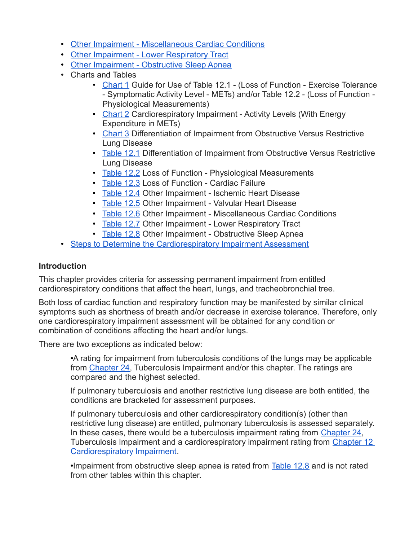- [Other Impairment Miscellaneous Cardiac Conditions](https://www.veterans.gc.ca/eng/health-support/physical-health-and-wellness/compensation-illness-injury/disability-benefits/benefits-determined/table-of-disabilities/ch-12-2006#a12)
- [Other Impairment Lower Respiratory Tract](https://www.veterans.gc.ca/eng/health-support/physical-health-and-wellness/compensation-illness-injury/disability-benefits/benefits-determined/table-of-disabilities/ch-12-2006#a13)
- [Other Impairment Obstructive Sleep Apnea](https://www.veterans.gc.ca/eng/health-support/physical-health-and-wellness/compensation-illness-injury/disability-benefits/benefits-determined/table-of-disabilities/ch-12-2006#a14)
- Charts and Tables
	- [Chart 1](https://www.veterans.gc.ca/eng/health-support/physical-health-and-wellness/compensation-illness-injury/disability-benefits/benefits-determined/table-of-disabilities/ch-12-2006#a15) Guide for Use of Table 12.1 (Loss of Function Exercise Tolerance - Symptomatic Activity Level - METs) and/or Table 12.2 - (Loss of Function - Physiological Measurements)
	- [Chart 2](https://www.veterans.gc.ca/eng/health-support/physical-health-and-wellness/compensation-illness-injury/disability-benefits/benefits-determined/table-of-disabilities/ch-12-2006#a16) Cardiorespiratory Impairment Activity Levels (With Energy Expenditure in METs)
	- [Chart 3](https://www.veterans.gc.ca/eng/health-support/physical-health-and-wellness/compensation-illness-injury/disability-benefits/benefits-determined/table-of-disabilities/ch-12-2006#a17) Differentiation of Impairment from Obstructive Versus Restrictive Lung Disease
	- [Table 12.1](https://www.veterans.gc.ca/eng/health-support/physical-health-and-wellness/compensation-illness-injury/disability-benefits/benefits-determined/table-of-disabilities/ch-12-2006#t01) Differentiation of Impairment from Obstructive Versus Restrictive Lung Disease
	- [Table 12.2](https://www.veterans.gc.ca/eng/health-support/physical-health-and-wellness/compensation-illness-injury/disability-benefits/benefits-determined/table-of-disabilities/ch-12-2006#t02) Loss of Function Physiological Measurements
	- [Table 12.3](https://www.veterans.gc.ca/eng/health-support/physical-health-and-wellness/compensation-illness-injury/disability-benefits/benefits-determined/table-of-disabilities/ch-12-2006#t03) Loss of Function Cardiac Failure
	- [Table 12.4](https://www.veterans.gc.ca/eng/health-support/physical-health-and-wellness/compensation-illness-injury/disability-benefits/benefits-determined/table-of-disabilities/ch-12-2006#t04) Other Impairment Ischemic Heart Disease
	- [Table 12.5](https://www.veterans.gc.ca/eng/health-support/physical-health-and-wellness/compensation-illness-injury/disability-benefits/benefits-determined/table-of-disabilities/ch-12-2006#t05) Other Impairment Valvular Heart Disease
	- [Table 12.6](https://www.veterans.gc.ca/eng/health-support/physical-health-and-wellness/compensation-illness-injury/disability-benefits/benefits-determined/table-of-disabilities/ch-12-2006#t06) Other Impairment Miscellaneous Cardiac Conditions
	- [Table 12.7](https://www.veterans.gc.ca/eng/health-support/physical-health-and-wellness/compensation-illness-injury/disability-benefits/benefits-determined/table-of-disabilities/ch-12-2006#t07) Other Impairment Lower Respiratory Tract
	- [Table 12.8](https://www.veterans.gc.ca/eng/health-support/physical-health-and-wellness/compensation-illness-injury/disability-benefits/benefits-determined/table-of-disabilities/ch-12-2006#t08) Other Impairment Obstructive Sleep Apnea
- [Steps to Determine the Cardiorespiratory Impairment Assessment](https://www.veterans.gc.ca/eng/health-support/physical-health-and-wellness/compensation-illness-injury/disability-benefits/benefits-determined/table-of-disabilities/ch-12-2006#a18)

#### **Introduction**

This chapter provides criteria for assessing permanent impairment from entitled cardiorespiratory conditions that affect the heart, lungs, and tracheobronchial tree.

Both loss of cardiac function and respiratory function may be manifested by similar clinical symptoms such as shortness of breath and/or decrease in exercise tolerance. Therefore, only one cardiorespiratory impairment assessment will be obtained for any condition or combination of conditions affecting the heart and/or lungs.

There are two exceptions as indicated below:

•A rating for impairment from tuberculosis conditions of the lungs may be applicable from [Chapter 24,](https://www.veterans.gc.ca/eng/services/after-injury/disability-benefits/benefits-determined/table-of-disabilities/ch-24-2006) Tuberculosis Impairment and/or this chapter. The ratings are compared and the highest selected.

If pulmonary tuberculosis and another restrictive lung disease are both entitled, the conditions are bracketed for assessment purposes.

If pulmonary tuberculosis and other cardiorespiratory condition(s) (other than restrictive lung disease) are entitled, pulmonary tuberculosis is assessed separately. In these cases, there would be a tuberculosis impairment rating from [Chapter 24,](https://www.veterans.gc.ca/eng/services/after-injury/disability-benefits/benefits-determined/table-of-disabilities/ch-24-2006) Tuberculosis Impairment and a cardiorespiratory impairment rating from Chapter 12 [Cardiorespiratory Impairment.](https://www.veterans.gc.ca/eng/health-support/physical-health-and-wellness/compensation-illness-injury/disability-benefits/benefits-determined/table-of-disabilities/ch-12-2006#a16)

•Impairment from obstructive sleep apnea is rated from [Table 12.8](https://www.veterans.gc.ca/eng/health-support/physical-health-and-wellness/compensation-illness-injury/disability-benefits/benefits-determined/table-of-disabilities/ch-12-2006#t08) and is not rated from other tables within this chapter.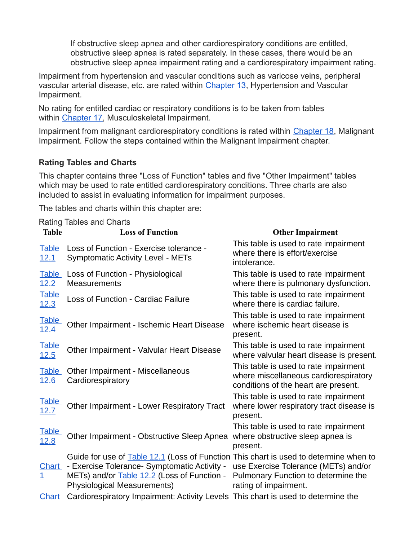If obstructive sleep apnea and other cardiorespiratory conditions are entitled, obstructive sleep apnea is rated separately. In these cases, there would be an obstructive sleep apnea impairment rating and a cardiorespiratory impairment rating.

Impairment from hypertension and vascular conditions such as varicose veins, peripheral vascular arterial disease, etc. are rated within [Chapter 13,](https://www.veterans.gc.ca/eng/services/after-injury/disability-benefits/benefits-determined/table-of-disabilities/ch-13-2006) Hypertension and Vascular Impairment.

No rating for entitled cardiac or respiratory conditions is to be taken from tables within [Chapter 17,](https://www.veterans.gc.ca/eng/services/after-injury/disability-benefits/benefits-determined/table-of-disabilities/ch-17-2006) Musculoskeletal Impairment.

Impairment from malignant cardiorespiratory conditions is rated within [Chapter 18,](https://www.veterans.gc.ca/eng/services/after-injury/disability-benefits/benefits-determined/table-of-disabilities/ch-18-2006) Malignant Impairment. Follow the steps contained within the Malignant Impairment chapter.

#### **Rating Tables and Charts**

This chapter contains three "Loss of Function" tables and five "Other Impairment" tables which may be used to rate entitled cardiorespiratory conditions. Three charts are also included to assist in evaluating information for impairment purposes.

The tables and charts within this chapter are:

|                                | <b>Rating Tables and Charts</b>                                                                                                                                                                                            |                                                                                                                        |
|--------------------------------|----------------------------------------------------------------------------------------------------------------------------------------------------------------------------------------------------------------------------|------------------------------------------------------------------------------------------------------------------------|
| <b>Table</b>                   | <b>Loss of Function</b>                                                                                                                                                                                                    | <b>Other Impairment</b>                                                                                                |
| <b>Table</b><br><u>12.1</u>    | Loss of Function - Exercise tolerance -<br><b>Symptomatic Activity Level - METs</b>                                                                                                                                        | This table is used to rate impairment<br>where there is effort/exercise<br>intolerance.                                |
| <b>Table</b><br>12.2           | Loss of Function - Physiological<br><b>Measurements</b>                                                                                                                                                                    | This table is used to rate impairment<br>where there is pulmonary dysfunction.                                         |
| <b>Table</b><br><u>12.3</u>    | <b>Loss of Function - Cardiac Failure</b>                                                                                                                                                                                  | This table is used to rate impairment<br>where there is cardiac failure.                                               |
| <b>Table</b><br><u> 12.4</u>   | Other Impairment - Ischemic Heart Disease                                                                                                                                                                                  | This table is used to rate impairment<br>where ischemic heart disease is<br>present.                                   |
| <b>Table</b><br>12.5           | Other Impairment - Valvular Heart Disease                                                                                                                                                                                  | This table is used to rate impairment<br>where valvular heart disease is present.                                      |
| <b>Table</b><br><u>12.6</u>    | Other Impairment - Miscellaneous<br>Cardiorespiratory                                                                                                                                                                      | This table is used to rate impairment<br>where miscellaneous cardiorespiratory<br>conditions of the heart are present. |
| <b>Table</b><br><u>12.7</u>    | Other Impairment - Lower Respiratory Tract                                                                                                                                                                                 | This table is used to rate impairment<br>where lower respiratory tract disease is<br>present.                          |
| <b>Table</b><br><u>12.8</u>    | Other Impairment - Obstructive Sleep Apnea                                                                                                                                                                                 | This table is used to rate impairment<br>where obstructive sleep apnea is<br>present.                                  |
| <u>Chart</u><br>$\overline{1}$ | Guide for use of <b>Table 12.1</b> (Loss of Function This chart is used to determine when to<br>- Exercise Tolerance- Symptomatic Activity -<br>METs) and/or Table 12.2 (Loss of Function -<br>Physiological Measurements) | use Exercise Tolerance (METs) and/or<br>Pulmonary Function to determine the<br>rating of impairment.                   |
| <b>Chart</b>                   | Cardiorespiratory Impairment: Activity Levels This chart is used to determine the                                                                                                                                          |                                                                                                                        |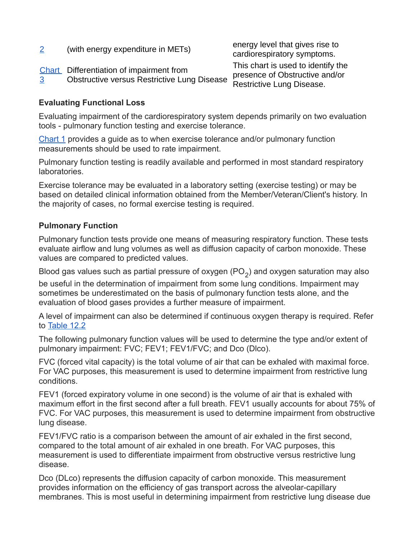| $\overline{2}$ | (with energy expenditure in METs)                                                              | energy level that gives rise to<br>cardiorespiratory symptoms.                                    |
|----------------|------------------------------------------------------------------------------------------------|---------------------------------------------------------------------------------------------------|
| 3              | Chart Differentiation of impairment from<br><b>Obstructive versus Restrictive Lung Disease</b> | This chart is used to identify the<br>presence of Obstructive and/or<br>Restrictive Lung Disease. |

#### **Evaluating Functional Loss**

Evaluating impairment of the cardiorespiratory system depends primarily on two evaluation tools - pulmonary function testing and exercise tolerance.

[Chart 1](https://www.veterans.gc.ca/eng/health-support/physical-health-and-wellness/compensation-illness-injury/disability-benefits/benefits-determined/table-of-disabilities/ch-12-2006#a15) provides a guide as to when exercise tolerance and/or pulmonary function measurements should be used to rate impairment.

Pulmonary function testing is readily available and performed in most standard respiratory laboratories.

Exercise tolerance may be evaluated in a laboratory setting (exercise testing) or may be based on detailed clinical information obtained from the Member/Veteran/Client's history. In the majority of cases, no formal exercise testing is required.

#### **Pulmonary Function**

Pulmonary function tests provide one means of measuring respiratory function. These tests evaluate airflow and lung volumes as well as diffusion capacity of carbon monoxide. These values are compared to predicted values.

Blood gas values such as partial pressure of oxygen (PO $_2$ ) and oxygen saturation may also

be useful in the determination of impairment from some lung conditions. Impairment may sometimes be underestimated on the basis of pulmonary function tests alone, and the evaluation of blood gases provides a further measure of impairment.

A level of impairment can also be determined if continuous oxygen therapy is required. Refer to [Table 12.2](https://www.veterans.gc.ca/eng/health-support/physical-health-and-wellness/compensation-illness-injury/disability-benefits/benefits-determined/table-of-disabilities/ch-12-2006#t02)

The following pulmonary function values will be used to determine the type and/or extent of pulmonary impairment: FVC; FEV1; FEV1/FVC; and Dco (Dlco).

FVC (forced vital capacity) is the total volume of air that can be exhaled with maximal force. For VAC purposes, this measurement is used to determine impairment from restrictive lung conditions.

FEV1 (forced expiratory volume in one second) is the volume of air that is exhaled with maximum effort in the first second after a full breath. FEV1 usually accounts for about 75% of FVC. For VAC purposes, this measurement is used to determine impairment from obstructive lung disease.

FEV1/FVC ratio is a comparison between the amount of air exhaled in the first second, compared to the total amount of air exhaled in one breath. For VAC purposes, this measurement is used to differentiate impairment from obstructive versus restrictive lung disease.

Dco (DLco) represents the diffusion capacity of carbon monoxide. This measurement provides information on the efficiency of gas transport across the alveolar-capillary membranes. This is most useful in determining impairment from restrictive lung disease due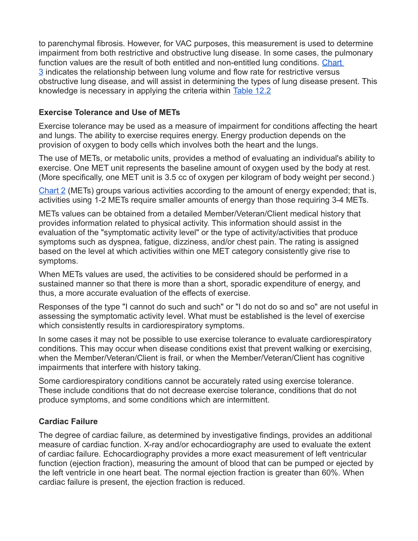to parenchymal fibrosis. However, for VAC purposes, this measurement is used to determine impairment from both restrictive and obstructive lung disease. In some cases, the pulmonary function values are the result of both entitled and non-entitled lung conditions. [Chart](https://www.veterans.gc.ca/eng/health-support/physical-health-and-wellness/compensation-illness-injury/disability-benefits/benefits-determined/table-of-disabilities/ch-12-2006#a17)  [3](https://www.veterans.gc.ca/eng/health-support/physical-health-and-wellness/compensation-illness-injury/disability-benefits/benefits-determined/table-of-disabilities/ch-12-2006#a17) indicates the relationship between lung volume and flow rate for restrictive versus obstructive lung disease, and will assist in determining the types of lung disease present. This knowledge is necessary in applying the criteria within [Table 12.2](https://www.veterans.gc.ca/eng/health-support/physical-health-and-wellness/compensation-illness-injury/disability-benefits/benefits-determined/table-of-disabilities/ch-12-2006#t02)

#### **Exercise Tolerance and Use of METs**

Exercise tolerance may be used as a measure of impairment for conditions affecting the heart and lungs. The ability to exercise requires energy. Energy production depends on the provision of oxygen to body cells which involves both the heart and the lungs.

The use of METs, or metabolic units, provides a method of evaluating an individual's ability to exercise. One MET unit represents the baseline amount of oxygen used by the body at rest. (More specifically, one MET unit is 3.5 cc of oxygen per kilogram of body weight per second.)

[Chart 2](https://www.veterans.gc.ca/eng/health-support/physical-health-and-wellness/compensation-illness-injury/disability-benefits/benefits-determined/table-of-disabilities/ch-12-2006#a16) (METs) groups various activities according to the amount of energy expended; that is, activities using 1-2 METs require smaller amounts of energy than those requiring 3-4 METs.

METs values can be obtained from a detailed Member/Veteran/Client medical history that provides information related to physical activity. This information should assist in the evaluation of the "symptomatic activity level" or the type of activity/activities that produce symptoms such as dyspnea, fatigue, dizziness, and/or chest pain. The rating is assigned based on the level at which activities within one MET category consistently give rise to symptoms.

When METs values are used, the activities to be considered should be performed in a sustained manner so that there is more than a short, sporadic expenditure of energy, and thus, a more accurate evaluation of the effects of exercise.

Responses of the type "I cannot do such and such" or "I do not do so and so" are not useful in assessing the symptomatic activity level. What must be established is the level of exercise which consistently results in cardiorespiratory symptoms.

In some cases it may not be possible to use exercise tolerance to evaluate cardiorespiratory conditions. This may occur when disease conditions exist that prevent walking or exercising, when the Member/Veteran/Client is frail, or when the Member/Veteran/Client has cognitive impairments that interfere with history taking.

Some cardiorespiratory conditions cannot be accurately rated using exercise tolerance. These include conditions that do not decrease exercise tolerance, conditions that do not produce symptoms, and some conditions which are intermittent.

#### **Cardiac Failure**

The degree of cardiac failure, as determined by investigative findings, provides an additional measure of cardiac function. X-ray and/or echocardiography are used to evaluate the extent of cardiac failure. Echocardiography provides a more exact measurement of left ventricular function (ejection fraction), measuring the amount of blood that can be pumped or ejected by the left ventricle in one heart beat. The normal ejection fraction is greater than 60%. When cardiac failure is present, the ejection fraction is reduced.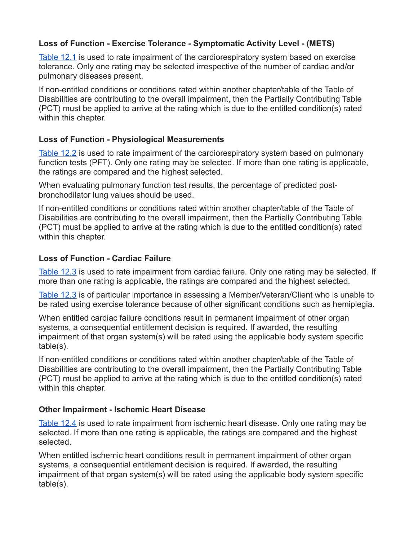#### **Loss of Function - Exercise Tolerance - Symptomatic Activity Level - (METS)**

[Table 12.1](https://www.veterans.gc.ca/eng/health-support/physical-health-and-wellness/compensation-illness-injury/disability-benefits/benefits-determined/table-of-disabilities/ch-12-2006#t01) is used to rate impairment of the cardiorespiratory system based on exercise tolerance. Only one rating may be selected irrespective of the number of cardiac and/or pulmonary diseases present.

If non-entitled conditions or conditions rated within another chapter/table of the Table of Disabilities are contributing to the overall impairment, then the Partially Contributing Table (PCT) must be applied to arrive at the rating which is due to the entitled condition(s) rated within this chapter.

#### **Loss of Function - Physiological Measurements**

[Table 12.2](https://www.veterans.gc.ca/eng/health-support/physical-health-and-wellness/compensation-illness-injury/disability-benefits/benefits-determined/table-of-disabilities/ch-12-2006#t02) is used to rate impairment of the cardiorespiratory system based on pulmonary function tests (PFT). Only one rating may be selected. If more than one rating is applicable, the ratings are compared and the highest selected.

When evaluating pulmonary function test results, the percentage of predicted postbronchodilator lung values should be used.

If non-entitled conditions or conditions rated within another chapter/table of the Table of Disabilities are contributing to the overall impairment, then the Partially Contributing Table (PCT) must be applied to arrive at the rating which is due to the entitled condition(s) rated within this chapter.

#### **Loss of Function - Cardiac Failure**

[Table 12.3](https://www.veterans.gc.ca/eng/health-support/physical-health-and-wellness/compensation-illness-injury/disability-benefits/benefits-determined/table-of-disabilities/ch-12-2006#t03) is used to rate impairment from cardiac failure. Only one rating may be selected. If more than one rating is applicable, the ratings are compared and the highest selected.

[Table 12.3](https://www.veterans.gc.ca/eng/health-support/physical-health-and-wellness/compensation-illness-injury/disability-benefits/benefits-determined/table-of-disabilities/ch-12-2006#t03) is of particular importance in assessing a Member/Veteran/Client who is unable to be rated using exercise tolerance because of other significant conditions such as hemiplegia.

When entitled cardiac failure conditions result in permanent impairment of other organ systems, a consequential entitlement decision is required. If awarded, the resulting impairment of that organ system(s) will be rated using the applicable body system specific table(s).

If non-entitled conditions or conditions rated within another chapter/table of the Table of Disabilities are contributing to the overall impairment, then the Partially Contributing Table (PCT) must be applied to arrive at the rating which is due to the entitled condition(s) rated within this chapter.

#### **Other Impairment - Ischemic Heart Disease**

[Table 12.4](https://www.veterans.gc.ca/eng/health-support/physical-health-and-wellness/compensation-illness-injury/disability-benefits/benefits-determined/table-of-disabilities/ch-12-2006#t04) is used to rate impairment from ischemic heart disease. Only one rating may be selected. If more than one rating is applicable, the ratings are compared and the highest selected.

When entitled ischemic heart conditions result in permanent impairment of other organ systems, a consequential entitlement decision is required. If awarded, the resulting impairment of that organ system(s) will be rated using the applicable body system specific table(s).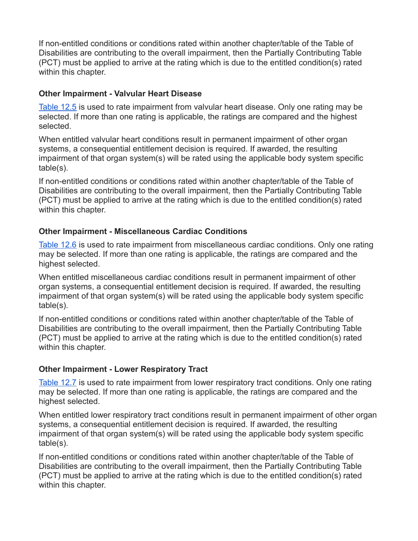If non-entitled conditions or conditions rated within another chapter/table of the Table of Disabilities are contributing to the overall impairment, then the Partially Contributing Table (PCT) must be applied to arrive at the rating which is due to the entitled condition(s) rated within this chapter.

#### **Other Impairment - Valvular Heart Disease**

[Table 12.5](https://www.veterans.gc.ca/eng/health-support/physical-health-and-wellness/compensation-illness-injury/disability-benefits/benefits-determined/table-of-disabilities/ch-12-2006#t05) is used to rate impairment from valvular heart disease. Only one rating may be selected. If more than one rating is applicable, the ratings are compared and the highest selected.

When entitled valvular heart conditions result in permanent impairment of other organ systems, a consequential entitlement decision is required. If awarded, the resulting impairment of that organ system(s) will be rated using the applicable body system specific table(s).

If non-entitled conditions or conditions rated within another chapter/table of the Table of Disabilities are contributing to the overall impairment, then the Partially Contributing Table (PCT) must be applied to arrive at the rating which is due to the entitled condition(s) rated within this chapter.

#### **Other Impairment - Miscellaneous Cardiac Conditions**

[Table 12.6](https://www.veterans.gc.ca/eng/health-support/physical-health-and-wellness/compensation-illness-injury/disability-benefits/benefits-determined/table-of-disabilities/ch-12-2006#t06) is used to rate impairment from miscellaneous cardiac conditions. Only one rating may be selected. If more than one rating is applicable, the ratings are compared and the highest selected.

When entitled miscellaneous cardiac conditions result in permanent impairment of other organ systems, a consequential entitlement decision is required. If awarded, the resulting impairment of that organ system(s) will be rated using the applicable body system specific table(s).

If non-entitled conditions or conditions rated within another chapter/table of the Table of Disabilities are contributing to the overall impairment, then the Partially Contributing Table (PCT) must be applied to arrive at the rating which is due to the entitled condition(s) rated within this chapter.

#### **Other Impairment - Lower Respiratory Tract**

[Table 12.7](https://www.veterans.gc.ca/eng/health-support/physical-health-and-wellness/compensation-illness-injury/disability-benefits/benefits-determined/table-of-disabilities/ch-12-2006#t07) is used to rate impairment from lower respiratory tract conditions. Only one rating may be selected. If more than one rating is applicable, the ratings are compared and the highest selected.

When entitled lower respiratory tract conditions result in permanent impairment of other organ systems, a consequential entitlement decision is required. If awarded, the resulting impairment of that organ system(s) will be rated using the applicable body system specific table(s).

If non-entitled conditions or conditions rated within another chapter/table of the Table of Disabilities are contributing to the overall impairment, then the Partially Contributing Table (PCT) must be applied to arrive at the rating which is due to the entitled condition(s) rated within this chapter.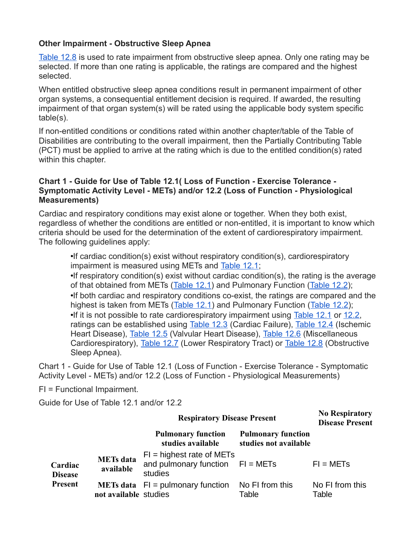#### **Other Impairment - Obstructive Sleep Apnea**

[Table 12.8](https://www.veterans.gc.ca/eng/health-support/physical-health-and-wellness/compensation-illness-injury/disability-benefits/benefits-determined/table-of-disabilities/ch-12-2006#t08) is used to rate impairment from obstructive sleep apnea. Only one rating may be selected. If more than one rating is applicable, the ratings are compared and the highest selected.

When entitled obstructive sleep apnea conditions result in permanent impairment of other organ systems, a consequential entitlement decision is required. If awarded, the resulting impairment of that organ system(s) will be rated using the applicable body system specific table(s).

If non-entitled conditions or conditions rated within another chapter/table of the Table of Disabilities are contributing to the overall impairment, then the Partially Contributing Table (PCT) must be applied to arrive at the rating which is due to the entitled condition(s) rated within this chapter.

#### **Chart 1 - Guide for Use of Table 12.1( Loss of Function - Exercise Tolerance - Symptomatic Activity Level - METs) and/or 12.2 (Loss of Function - Physiological Measurements)**

Cardiac and respiratory conditions may exist alone or together. When they both exist, regardless of whether the conditions are entitled or non-entitled, it is important to know which criteria should be used for the determination of the extent of cardiorespiratory impairment. The following guidelines apply:

•If cardiac condition(s) exist without respiratory condition(s), cardiorespiratory impairment is measured using METs and [Table 12.1;](https://www.veterans.gc.ca/eng/health-support/physical-health-and-wellness/compensation-illness-injury/disability-benefits/benefits-determined/table-of-disabilities/ch-12-2006#t01)

•If respiratory condition(s) exist without cardiac condition(s), the rating is the average of that obtained from METs [\(Table 12.1\)](https://www.veterans.gc.ca/eng/health-support/physical-health-and-wellness/compensation-illness-injury/disability-benefits/benefits-determined/table-of-disabilities/ch-12-2006#t01) and Pulmonary Function [\(Table 12.2\)](https://www.veterans.gc.ca/eng/health-support/physical-health-and-wellness/compensation-illness-injury/disability-benefits/benefits-determined/table-of-disabilities/ch-12-2006#t02); •If both cardiac and respiratory conditions co-exist, the ratings are compared and the highest is taken from METs [\(Table 12.1\)](https://www.veterans.gc.ca/eng/health-support/physical-health-and-wellness/compensation-illness-injury/disability-benefits/benefits-determined/table-of-disabilities/ch-12-2006#t01) and Pulmonary Function [\(Table 12.2\)](https://www.veterans.gc.ca/eng/health-support/physical-health-and-wellness/compensation-illness-injury/disability-benefits/benefits-determined/table-of-disabilities/ch-12-2006#t02); •If it is not possible to rate cardiorespiratory impairment using [Table 12.1](https://www.veterans.gc.ca/eng/health-support/physical-health-and-wellness/compensation-illness-injury/disability-benefits/benefits-determined/table-of-disabilities/ch-12-2006#t01) or [12.2,](https://www.veterans.gc.ca/eng/health-support/physical-health-and-wellness/compensation-illness-injury/disability-benefits/benefits-determined/table-of-disabilities/ch-12-2006#t02) ratings can be established using [Table 12.3](https://www.veterans.gc.ca/eng/health-support/physical-health-and-wellness/compensation-illness-injury/disability-benefits/benefits-determined/table-of-disabilities/ch-12-2006#t03) (Cardiac Failure), [Table 12.4](https://www.veterans.gc.ca/eng/health-support/physical-health-and-wellness/compensation-illness-injury/disability-benefits/benefits-determined/table-of-disabilities/ch-12-2006#t04) (Ischemic Heart Disease), [Table 12.5](https://www.veterans.gc.ca/eng/health-support/physical-health-and-wellness/compensation-illness-injury/disability-benefits/benefits-determined/table-of-disabilities/ch-12-2006#t05) (Valvular Heart Disease), [Table 12.6](https://www.veterans.gc.ca/eng/health-support/physical-health-and-wellness/compensation-illness-injury/disability-benefits/benefits-determined/table-of-disabilities/ch-12-2006#t06) (Miscellaneous Cardiorespiratory), [Table 12.7](https://www.veterans.gc.ca/eng/health-support/physical-health-and-wellness/compensation-illness-injury/disability-benefits/benefits-determined/table-of-disabilities/ch-12-2006#t07) (Lower Respiratory Tract) or [Table 12.8](https://www.veterans.gc.ca/eng/health-support/physical-health-and-wellness/compensation-illness-injury/disability-benefits/benefits-determined/table-of-disabilities/ch-12-2006#t08) (Obstructive Sleep Apnea).

Chart 1 - Guide for Use of Table 12.1 (Loss of Function - Exercise Tolerance - Symptomatic Activity Level - METs) and/or 12.2 (Loss of Function - Physiological Measurements)

FI = Functional Impairment.

Guide for Use of Table 12.1 and/or 12.2

|                           |                               | <b>Respiratory Disease Present</b>                                           | <b>No Respiratory</b><br><b>Disease Present</b>    |                          |
|---------------------------|-------------------------------|------------------------------------------------------------------------------|----------------------------------------------------|--------------------------|
|                           |                               | <b>Pulmonary function</b><br>studies available                               | <b>Pulmonary function</b><br>studies not available |                          |
| Cardiac<br><b>Disease</b> | <b>METs</b> data<br>available | $FI = highest rate of METs$<br>and pulmonary function $FI = METs$<br>studies |                                                    | $FI = METs$              |
| <b>Present</b>            | not available studies         | <b>METs data</b> $FI =$ pulmonary function                                   | No FI from this<br>Table                           | No FI from this<br>Table |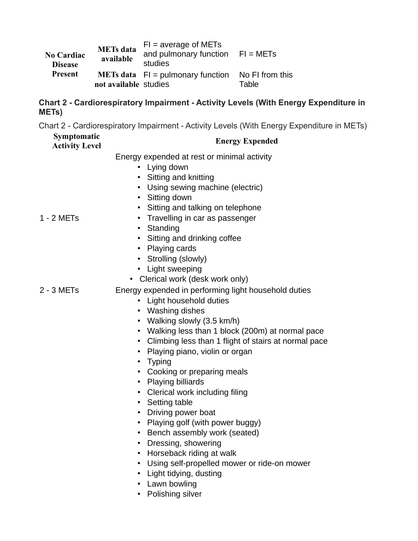| <b>No Cardiac</b><br><b>Disease</b> | <b>METs</b> data<br>available | $FI = average of METs$<br>and pulmonary function $FI = METs$<br>studies |                          |
|-------------------------------------|-------------------------------|-------------------------------------------------------------------------|--------------------------|
| Present                             | not available studies         | <b>METs data</b> $FI =$ pulmonary function                              | No FI from this<br>Table |

#### **Chart 2 - Cardiorespiratory Impairment - Activity Levels (With Energy Expenditure in METs)**

Chart 2 - Cardiorespiratory Impairment - Activity Levels (With Energy Expenditure in METs)

# **Symptomatic**

## **Activity Level Energy Expended**

Energy expended at rest or minimal activity

- Lying down
- Sitting and knitting
- Using sewing machine (electric)
- Sitting down
- Sitting and talking on telephone

#### 1 - 2 METs

- Travelling in car as passenger
- Standing
- Sitting and drinking coffee
- Playing cards
- Strolling (slowly)
- Light sweeping
- Clerical work (desk work only)

## 2 - 3 METs Energy expended in performing light household duties

- Light household duties
- Washing dishes
- Walking slowly (3.5 km/h)
- Walking less than 1 block (200m) at normal pace
- Climbing less than 1 flight of stairs at normal pace
- Playing piano, violin or organ
- Typing
- Cooking or preparing meals
- Playing billiards
- Clerical work including filing
- Setting table
- Driving power boat
- Playing golf (with power buggy)
- Bench assembly work (seated)
- Dressing, showering
- Horseback riding at walk
- Using self-propelled mower or ride-on mower
- Light tidying, dusting
- Lawn bowling
- Polishing silver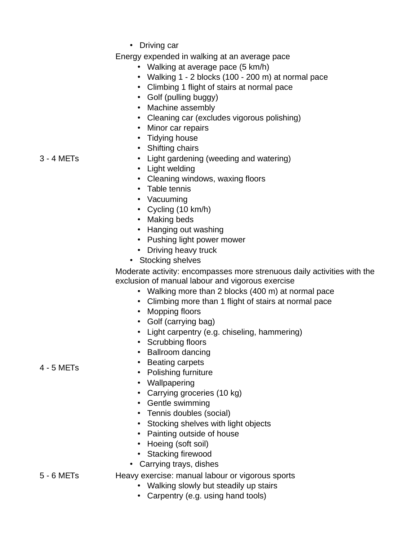• Driving car

Energy expended in walking at an average pace

- Walking at average pace (5 km/h)
- Walking 1 2 blocks (100 200 m) at normal pace
- Climbing 1 flight of stairs at normal pace
- Golf (pulling buggy)
- Machine assembly
- Cleaning car (excludes vigorous polishing)
- Minor car repairs
- Tidying house
- Shifting chairs

3 - 4 METs

- Light gardening (weeding and watering) • Light welding
- Cleaning windows, waxing floors
- Table tennis
- Vacuuming
- Cycling (10 km/h)
- Making beds
- Hanging out washing
- Pushing light power mower
- Driving heavy truck
- Stocking shelves

Moderate activity: encompasses more strenuous daily activities with the exclusion of manual labour and vigorous exercise

- Walking more than 2 blocks (400 m) at normal pace
- Climbing more than 1 flight of stairs at normal pace
- Mopping floors
- Golf (carrying bag)
- Light carpentry (e.g. chiseling, hammering)
- Scrubbing floors
- Ballroom dancing
- Beating carpets
- Polishing furniture
- Wallpapering
- Carrying groceries (10 kg)
- Gentle swimming
- Tennis doubles (social)
- Stocking shelves with light objects
- Painting outside of house
- Hoeing (soft soil)
- Stacking firewood
- Carrying trays, dishes
- 5 6 METs Heavy exercise: manual labour or vigorous sports
	- Walking slowly but steadily up stairs
	- Carpentry (e.g. using hand tools)

#### 4 - 5 METs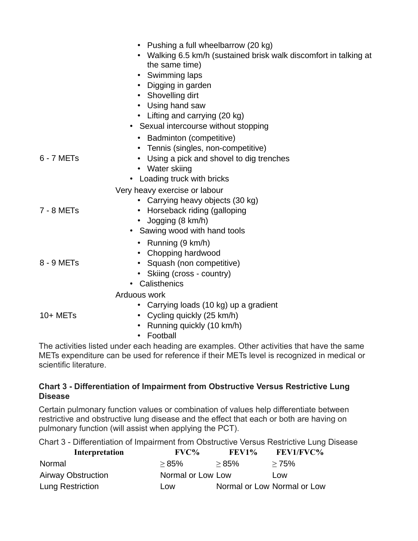|            | Pushing a full wheelbarrow (20 kg)<br>Walking 6.5 km/h (sustained brisk walk discomfort in talking at<br>the same time)<br>• Swimming laps<br>Digging in garden<br>• Shovelling dirt<br>• Using hand saw<br>• Lifting and carrying (20 kg)<br>• Sexual intercourse without stopping |
|------------|-------------------------------------------------------------------------------------------------------------------------------------------------------------------------------------------------------------------------------------------------------------------------------------|
|            | <b>Badminton (competitive)</b>                                                                                                                                                                                                                                                      |
| 6 - 7 METs | • Tennis (singles, non-competitive)<br>Using a pick and shovel to dig trenches<br>• Water skiing                                                                                                                                                                                    |
|            | • Loading truck with bricks<br>Very heavy exercise or labour                                                                                                                                                                                                                        |
|            | • Carrying heavy objects (30 kg)                                                                                                                                                                                                                                                    |
| 7 - 8 METs | • Horseback riding (galloping                                                                                                                                                                                                                                                       |
|            | • Jogging (8 km/h)                                                                                                                                                                                                                                                                  |
|            | • Sawing wood with hand tools                                                                                                                                                                                                                                                       |
|            | • Running $(9 \text{ km/h})$                                                                                                                                                                                                                                                        |
| 8 - 9 METs | • Chopping hardwood<br>• Squash (non competitive)                                                                                                                                                                                                                                   |
|            | • Skiing (cross - country)                                                                                                                                                                                                                                                          |
|            | Calisthenics                                                                                                                                                                                                                                                                        |
|            | Arduous work                                                                                                                                                                                                                                                                        |
|            | Carrying loads (10 kg) up a gradient                                                                                                                                                                                                                                                |
| 10+ METs   | • Cycling quickly (25 km/h)                                                                                                                                                                                                                                                         |
|            | Running quickly (10 km/h)                                                                                                                                                                                                                                                           |
|            | Football<br>لممراه وللشرائع والمعالى واللائمة والمستحقق ومستحقق والمستحيط والمعامر والمستحقق والملحل والمناسبة والمستحقق والتجا                                                                                                                                                     |

The activities listed under each heading are examples. Other activities that have the same METs expenditure can be used for reference if their METs level is recognized in medical or scientific literature.

#### **Chart 3 - Differentiation of Impairment from Obstructive Versus Restrictive Lung Disease**

Certain pulmonary function values or combination of values help differentiate between restrictive and obstructive lung disease and the effect that each or both are having on pulmonary function (will assist when applying the PCT).

Chart 3 - Differentiation of Impairment from Obstructive Versus Restrictive Lung Disease

| Interpretation            | $\rm FVC$ %       | <b>FEV1%</b> | <b>FEV1/FVC%</b>            |
|---------------------------|-------------------|--------------|-----------------------------|
| Normal                    | >85%              | >85%         | >75%                        |
| <b>Airway Obstruction</b> | Normal or Low Low |              | Low                         |
| Lung Restriction          | Low               |              | Normal or Low Normal or Low |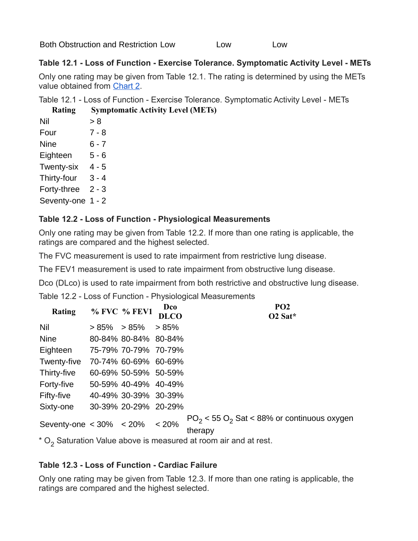Both Obstruction and Restriction Low Low Low Low

#### **Table 12.1 - Loss of Function - Exercise Tolerance. Symptomatic Activity Level - METs**

Only one rating may be given from Table 12.1. The rating is determined by using the METs value obtained from [Chart 2.](https://www.veterans.gc.ca/eng/health-support/physical-health-and-wellness/compensation-illness-injury/disability-benefits/benefits-determined/table-of-disabilities/ch-12-2006#a16)

Table 12.1 - Loss of Function - Exercise Tolerance. Symptomatic Activity Level - METs **Rating Symptomatic Activity Level (METs)**

| Katıng            | SVMPIC  |
|-------------------|---------|
| Nil               | > 8     |
| Four              | $7 - 8$ |
| <b>Nine</b>       | 6 - 7   |
| Eighteen          | 5 - 6   |
| <b>Twenty-six</b> | 4 - 5   |
| Thirty-four       | 3 - 4   |
| Forty-three       | $2 - 3$ |
| Seventy-one       | 1 - 2   |

#### **Table 12.2 - Loss of Function - Physiological Measurements**

Only one rating may be given from Table 12.2. If more than one rating is applicable, the ratings are compared and the highest selected.

The FVC measurement is used to rate impairment from restrictive lung disease.

The FEV1 measurement is used to rate impairment from obstructive lung disease.

Dco (DLco) is used to rate impairment from both restrictive and obstructive lung disease.

Table 12.2 - Loss of Function - Physiological Measurements

| <b>Rating</b>               |         | % FVC % FEV1         | Dco<br><b>DLCO</b> | PO <sub>2</sub><br>O <sub>2</sub> Sat*                      |
|-----------------------------|---------|----------------------|--------------------|-------------------------------------------------------------|
| Nil                         | $>85\%$ | $> 85\%$             | > 85%              |                                                             |
| <b>Nine</b>                 |         | 80-84% 80-84% 80-84% |                    |                                                             |
| Eighteen                    |         | 75-79% 70-79% 70-79% |                    |                                                             |
| Twenty-five                 |         | 70-74% 60-69% 60-69% |                    |                                                             |
| Thirty-five                 |         | 60-69% 50-59% 50-59% |                    |                                                             |
| Forty-five                  |         | 50-59% 40-49% 40-49% |                    |                                                             |
| Fifty-five                  |         | 40-49% 30-39% 30-39% |                    |                                                             |
| Sixty-one                   |         | 30-39% 20-29% 20-29% |                    |                                                             |
| Seventy-one $< 30\% < 20\%$ |         |                      | < 20%              | $PO_2$ < 55 $O_2$ Sat < 88% or continuous oxygen<br>therapy |

 $^{\ast}$  O $_{2}$  Saturation Value above is measured at room air and at rest.

## **Table 12.3 - Loss of Function - Cardiac Failure**

Only one rating may be given from Table 12.3. If more than one rating is applicable, the ratings are compared and the highest selected.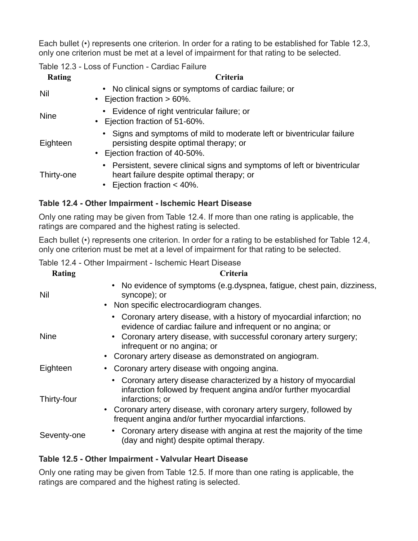Each bullet (•) represents one criterion. In order for a rating to be established for Table 12.3, only one criterion must be met at a level of impairment for that rating to be selected.

Table 12.3 - Loss of Function - Cardiac Failure

| Rating      | Criteria                                                                                                                                               |
|-------------|--------------------------------------------------------------------------------------------------------------------------------------------------------|
| Nil         | • No clinical signs or symptoms of cardiac failure; or<br>• Ejection fraction $> 60\%$ .                                                               |
| <b>Nine</b> | • Evidence of right ventricular failure; or<br>• Ejection fraction of 51-60%.                                                                          |
| Eighteen    | • Signs and symptoms of mild to moderate left or biventricular failure<br>persisting despite optimal therapy; or<br>• Ejection fraction of 40-50%.     |
| Thirty-one  | • Persistent, severe clinical signs and symptoms of left or biventricular<br>heart failure despite optimal therapy; or<br>• Ejection fraction $<$ 40%. |

#### **Table 12.4 - Other Impairment - Ischemic Heart Disease**

Only one rating may be given from Table 12.4. If more than one rating is applicable, the ratings are compared and the highest rating is selected.

Each bullet (•) represents one criterion. In order for a rating to be established for Table 12.4, only one criterion must be met at a level of impairment for that rating to be selected.

Table 12.4 - Other Impairment - Ischemic Heart Disease

| Rating      | Criteria                                                                                                                                                                                                                                                                                                  |
|-------------|-----------------------------------------------------------------------------------------------------------------------------------------------------------------------------------------------------------------------------------------------------------------------------------------------------------|
| Nil         | No evidence of symptoms (e.g.dyspnea, fatigue, chest pain, dizziness,<br>$\bullet$<br>syncope); or<br>• Non specific electrocardiogram changes.                                                                                                                                                           |
| <b>Nine</b> | • Coronary artery disease, with a history of myocardial infarction; no<br>evidence of cardiac failure and infrequent or no angina; or<br>• Coronary artery disease, with successful coronary artery surgery;<br>infrequent or no angina; or<br>Coronary artery disease as demonstrated on angiogram.<br>٠ |
| Eighteen    | Coronary artery disease with ongoing angina.                                                                                                                                                                                                                                                              |
| Thirty-four | • Coronary artery disease characterized by a history of myocardial<br>infarction followed by frequent angina and/or further myocardial<br>infarctions; or<br>• Coronary artery disease, with coronary artery surgery, followed by<br>frequent angina and/or further myocardial infarctions.               |
| Seventy-one | • Coronary artery disease with angina at rest the majority of the time<br>(day and night) despite optimal therapy.                                                                                                                                                                                        |

#### **Table 12.5 - Other Impairment - Valvular Heart Disease**

Only one rating may be given from Table 12.5. If more than one rating is applicable, the ratings are compared and the highest rating is selected.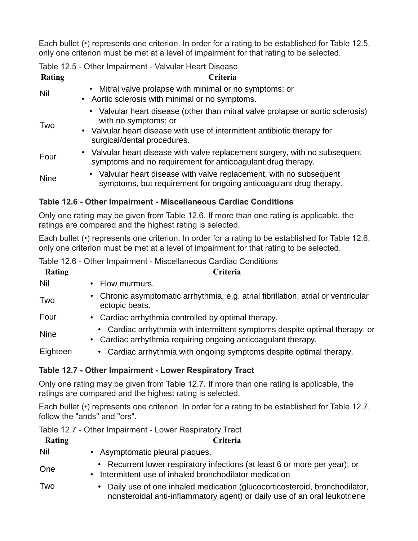Each bullet (•) represents one criterion. In order for a rating to be established for Table 12.5, only one criterion must be met at a level of impairment for that rating to be selected.

|               | Table 12.5 - Other Impairment - Valvular Heart Disease                                                                                                                                                             |
|---------------|--------------------------------------------------------------------------------------------------------------------------------------------------------------------------------------------------------------------|
| <b>Rating</b> | Criteria                                                                                                                                                                                                           |
| Nil           | • Mitral valve prolapse with minimal or no symptoms; or<br>• Aortic sclerosis with minimal or no symptoms.                                                                                                         |
| Two           | • Valvular heart disease (other than mitral valve prolapse or aortic sclerosis)<br>with no symptoms; or<br>• Valvular heart disease with use of intermittent antibiotic therapy for<br>surgical/dental procedures. |
| Four          | • Valvular heart disease with valve replacement surgery, with no subsequent<br>symptoms and no requirement for anticoagulant drug therapy.                                                                         |
| <b>Nine</b>   | • Valvular heart disease with valve replacement, with no subsequent<br>symptoms, but requirement for ongoing anticoagulant drug therapy.                                                                           |

## **Table 12.6 - Other Impairment - Miscellaneous Cardiac Conditions**

Only one rating may be given from Table 12.6. If more than one rating is applicable, the ratings are compared and the highest rating is selected.

Each bullet (•) represents one criterion. In order for a rating to be established for Table 12.6, only one criterion must be met at a level of impairment for that rating to be selected.

Table 12.6 - Other Impairment - Miscellaneous Cardiac Conditions

| Rating      | Criteria                                                                                                                                                |
|-------------|---------------------------------------------------------------------------------------------------------------------------------------------------------|
| Nil         | Flow murmurs.                                                                                                                                           |
| Two         | Chronic asymptomatic arrhythmia, e.g. atrial fibrillation, atrial or ventricular<br>$\bullet$<br>ectopic beats.                                         |
| Four        | • Cardiac arrhythmia controlled by optimal therapy.                                                                                                     |
| <b>Nine</b> | • Cardiac arrhythmia with intermittent symptoms despite optimal therapy; or<br>Cardiac arrhythmia requiring ongoing anticoagulant therapy.<br>$\bullet$ |
| Eighteen    | • Cardiac arrhythmia with ongoing symptoms despite optimal therapy.                                                                                     |

#### **Table 12.7 - Other Impairment - Lower Respiratory Tract**

Only one rating may be given from Table 12.7. If more than one rating is applicable, the ratings are compared and the highest rating is selected.

Each bullet (•) represents one criterion. In order for a rating to be established for Table 12.7, follow the "ands" and "ors".

Table 12.7 - Other Impairment - Lower Respiratory Tract

| Rating | Criteria                                                                                                                                                 |
|--------|----------------------------------------------------------------------------------------------------------------------------------------------------------|
| Nil    | • Asymptomatic pleural plaques.                                                                                                                          |
| One    | • Recurrent lower respiratory infections (at least 6 or more per year); or<br>• Intermittent use of inhaled bronchodilator medication                    |
| Two    | • Daily use of one inhaled medication (glucocorticosteroid, bronchodilator,<br>nonsteroidal anti-inflammatory agent) or daily use of an oral leukotriene |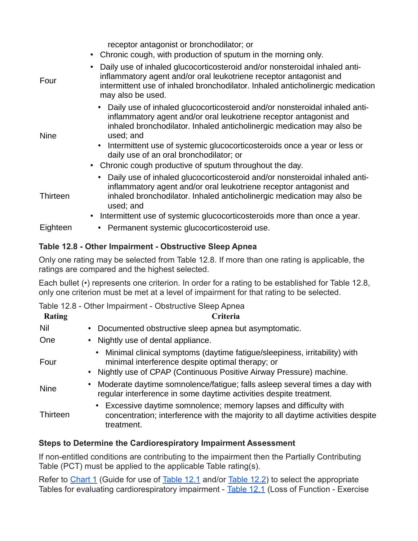receptor antagonist or bronchodilator; or

- Chronic cough, with production of sputum in the morning only.
- Four • Daily use of inhaled glucocorticosteroid and/or nonsteroidal inhaled antiinflammatory agent and/or oral leukotriene receptor antagonist and intermittent use of inhaled bronchodilator. Inhaled anticholinergic medication may also be used. Nine • Daily use of inhaled glucocorticosteroid and/or nonsteroidal inhaled antiinflammatory agent and/or oral leukotriene receptor antagonist and inhaled bronchodilator. Inhaled anticholinergic medication may also be used; and • Intermittent use of systemic glucocorticosteroids once a year or less or daily use of an oral bronchodilator; or • Chronic cough productive of sputum throughout the day. **Thirteen** • Daily use of inhaled glucocorticosteroid and/or nonsteroidal inhaled antiinflammatory agent and/or oral leukotriene receptor antagonist and inhaled bronchodilator. Inhaled anticholinergic medication may also be used; and • Intermittent use of systemic glucocorticosteroids more than once a year. Eighteen • Permanent systemic glucocorticosteroid use.

## **Table 12.8 - Other Impairment - Obstructive Sleep Apnea**

Only one rating may be selected from Table 12.8. If more than one rating is applicable, the ratings are compared and the highest selected.

Each bullet (•) represents one criterion. In order for a rating to be established for Table 12.8, only one criterion must be met at a level of impairment for that rating to be selected.

Table 12.8 - Other Impairment - Obstructive Sleep Apnea

| <b>Rating</b> | Criteria                                                                                                                                                                                              |
|---------------|-------------------------------------------------------------------------------------------------------------------------------------------------------------------------------------------------------|
| Nil           | Documented obstructive sleep apnea but asymptomatic.                                                                                                                                                  |
| One           | • Nightly use of dental appliance.                                                                                                                                                                    |
| Four          | Minimal clinical symptoms (daytime fatigue/sleepiness, irritability) with<br>minimal interference despite optimal therapy; or<br>• Nightly use of CPAP (Continuous Positive Airway Pressure) machine. |
| <b>Nine</b>   | Moderate daytime somnolence/fatigue; falls as leep several times a day with<br>regular interference in some daytime activities despite treatment.                                                     |
| Thirteen      | Excessive daytime somnolence; memory lapses and difficulty with<br>concentration; interference with the majority to all daytime activities despite<br>treatment.                                      |

#### **Steps to Determine the Cardiorespiratory Impairment Assessment**

If non-entitled conditions are contributing to the impairment then the Partially Contributing Table (PCT) must be applied to the applicable Table rating(s).

Refer to [Chart 1](https://www.veterans.gc.ca/eng/health-support/physical-health-and-wellness/compensation-illness-injury/disability-benefits/benefits-determined/table-of-disabilities/ch-12-2006#a15) (Guide for use of [Table 12.1](https://www.veterans.gc.ca/eng/health-support/physical-health-and-wellness/compensation-illness-injury/disability-benefits/benefits-determined/table-of-disabilities/ch-12-2006#t01) and/or [Table 12.2\)](https://www.veterans.gc.ca/eng/health-support/physical-health-and-wellness/compensation-illness-injury/disability-benefits/benefits-determined/table-of-disabilities/ch-12-2006#t02) to select the appropriate Tables for evaluating cardiorespiratory impairment - [Table 12.1](https://www.veterans.gc.ca/eng/health-support/physical-health-and-wellness/compensation-illness-injury/disability-benefits/benefits-determined/table-of-disabilities/ch-12-2006#t01) (Loss of Function - Exercise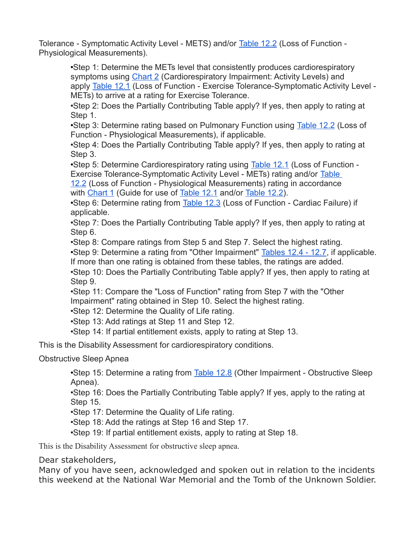Tolerance - Symptomatic Activity Level - METS) and/or **[Table 12.2](https://www.veterans.gc.ca/eng/health-support/physical-health-and-wellness/compensation-illness-injury/disability-benefits/benefits-determined/table-of-disabilities/ch-12-2006#t02)** (Loss of Function -Physiological Measurements).

> •Step 1: Determine the METs level that consistently produces cardiorespiratory symptoms using [Chart 2](https://www.veterans.gc.ca/eng/health-support/physical-health-and-wellness/compensation-illness-injury/disability-benefits/benefits-determined/table-of-disabilities/ch-12-2006#a16) (Cardiorespiratory Impairment: Activity Levels) and apply [Table 12.1](https://www.veterans.gc.ca/eng/health-support/physical-health-and-wellness/compensation-illness-injury/disability-benefits/benefits-determined/table-of-disabilities/ch-12-2006#t01) (Loss of Function - Exercise Tolerance-Symptomatic Activity Level -METs) to arrive at a rating for Exercise Tolerance.

•Step 2: Does the Partially Contributing Table apply? If yes, then apply to rating at Step 1.

•Step 3: Determine rating based on Pulmonary Function using [Table 12.2](https://www.veterans.gc.ca/eng/health-support/physical-health-and-wellness/compensation-illness-injury/disability-benefits/benefits-determined/table-of-disabilities/ch-12-2006#t02) (Loss of Function - Physiological Measurements), if applicable.

•Step 4: Does the Partially Contributing Table apply? If yes, then apply to rating at Step 3.

•Step 5: Determine Cardiorespiratory rating using [Table 12.1](https://www.veterans.gc.ca/eng/health-support/physical-health-and-wellness/compensation-illness-injury/disability-benefits/benefits-determined/table-of-disabilities/ch-12-2006#t01) (Loss of Function -Exercise Tolerance-Symptomatic Activity Level - METs) rating and/or [Table](https://www.veterans.gc.ca/eng/health-support/physical-health-and-wellness/compensation-illness-injury/disability-benefits/benefits-determined/table-of-disabilities/ch-12-2006#t02) 

[12.2](https://www.veterans.gc.ca/eng/health-support/physical-health-and-wellness/compensation-illness-injury/disability-benefits/benefits-determined/table-of-disabilities/ch-12-2006#t02) (Loss of Function - Physiological Measurements) rating in accordance with [Chart 1](https://www.veterans.gc.ca/eng/health-support/physical-health-and-wellness/compensation-illness-injury/disability-benefits/benefits-determined/table-of-disabilities/ch-12-2006#a15) (Guide for use of [Table 12.1](https://www.veterans.gc.ca/eng/health-support/physical-health-and-wellness/compensation-illness-injury/disability-benefits/benefits-determined/table-of-disabilities/ch-12-2006#t01) and/or [Table 12.2\)](https://www.veterans.gc.ca/eng/health-support/physical-health-and-wellness/compensation-illness-injury/disability-benefits/benefits-determined/table-of-disabilities/ch-12-2006#t02).

•Step 6: Determine rating from [Table 12.3](https://www.veterans.gc.ca/eng/health-support/physical-health-and-wellness/compensation-illness-injury/disability-benefits/benefits-determined/table-of-disabilities/ch-12-2006#t03) (Loss of Function - Cardiac Failure) if applicable.

•Step 7: Does the Partially Contributing Table apply? If yes, then apply to rating at Step 6.

•Step 8: Compare ratings from Step 5 and Step 7. Select the highest rating.

•Step 9: Determine a rating from "Other Impairment" [Tables 12.4 - 12.7,](https://www.veterans.gc.ca/eng/health-support/physical-health-and-wellness/compensation-illness-injury/disability-benefits/benefits-determined/table-of-disabilities/ch-12-2006#a02) if applicable.

If more than one rating is obtained from these tables, the ratings are added.

•Step 10: Does the Partially Contributing Table apply? If yes, then apply to rating at Step 9.

•Step 11: Compare the "Loss of Function" rating from Step 7 with the "Other Impairment" rating obtained in Step 10. Select the highest rating.

•Step 12: Determine the Quality of Life rating.

•Step 13: Add ratings at Step 11 and Step 12.

•Step 14: If partial entitlement exists, apply to rating at Step 13.

This is the Disability Assessment for cardiorespiratory conditions.

Obstructive Sleep Apnea

•Step 15: Determine a rating from [Table 12.8](https://www.veterans.gc.ca/eng/health-support/physical-health-and-wellness/compensation-illness-injury/disability-benefits/benefits-determined/table-of-disabilities/ch-12-2006#t08) (Other Impairment - Obstructive Sleep Apnea).

•Step 16: Does the Partially Contributing Table apply? If yes, apply to the rating at Step 15.

•Step 17: Determine the Quality of Life rating.

•Step 18: Add the ratings at Step 16 and Step 17.

•Step 19: If partial entitlement exists, apply to rating at Step 18.

This is the Disability Assessment for obstructive sleep apnea.

Dear stakeholders,

Many of you have seen, acknowledged and spoken out in relation to the incidents this weekend at the National War Memorial and the Tomb of the Unknown Soldier.